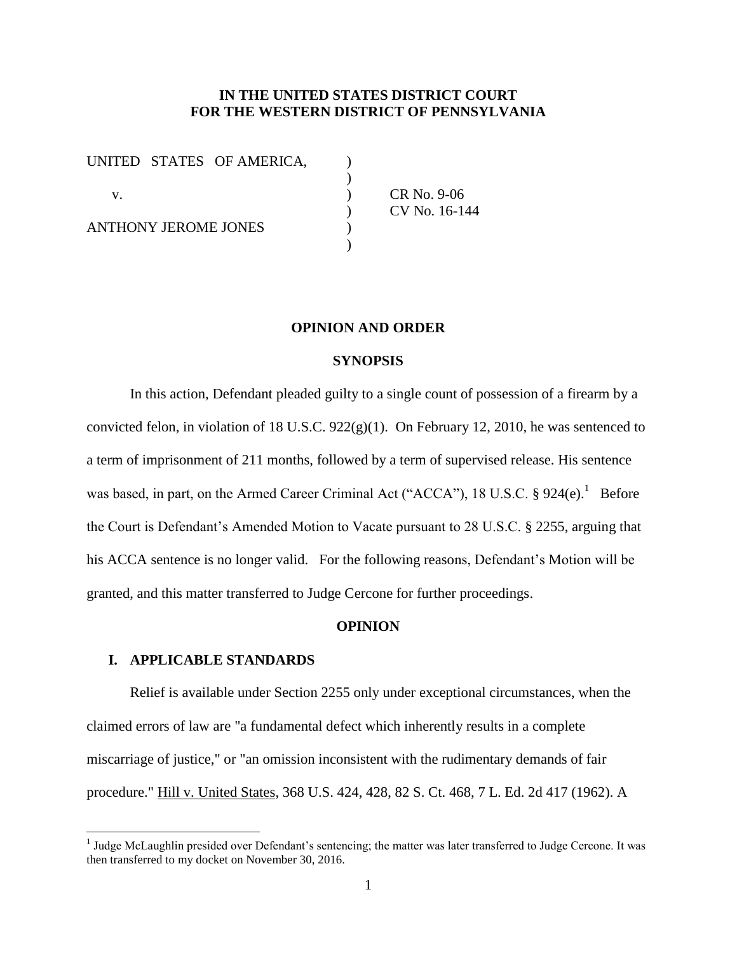## **IN THE UNITED STATES DISTRICT COURT FOR THE WESTERN DISTRICT OF PENNSYLVANIA**

| UNITED STATES OF AMERICA,   |  |
|-----------------------------|--|
|                             |  |
| V.                          |  |
|                             |  |
| <b>ANTHONY JEROME JONES</b> |  |
|                             |  |

CR No. 9-06 ) CV No. 16-144

#### **OPINION AND ORDER**

### **SYNOPSIS**

In this action, Defendant pleaded guilty to a single count of possession of a firearm by a convicted felon, in violation of 18 U.S.C.  $922(g)(1)$ . On February 12, 2010, he was sentenced to a term of imprisonment of 211 months, followed by a term of supervised release. His sentence was based, in part, on the Armed Career Criminal Act ("ACCA"), 18 U.S.C.  $\S 924(e)$ .<sup>1</sup> Before the Court is Defendant's Amended Motion to Vacate pursuant to 28 U.S.C. § 2255, arguing that his ACCA sentence is no longer valid. For the following reasons, Defendant's Motion will be granted, and this matter transferred to Judge Cercone for further proceedings.

#### **OPINION**

### **I. APPLICABLE STANDARDS**

 $\overline{a}$ 

Relief is available under Section 2255 only under exceptional circumstances, when the claimed errors of law are "a fundamental defect which inherently results in a complete miscarriage of justice," or "an omission inconsistent with the rudimentary demands of fair procedure." Hill v. United States, 368 U.S. 424, 428, 82 S. Ct. 468, 7 L. Ed. 2d 417 (1962). A

<sup>&</sup>lt;sup>1</sup> Judge McLaughlin presided over Defendant's sentencing; the matter was later transferred to Judge Cercone. It was then transferred to my docket on November 30, 2016.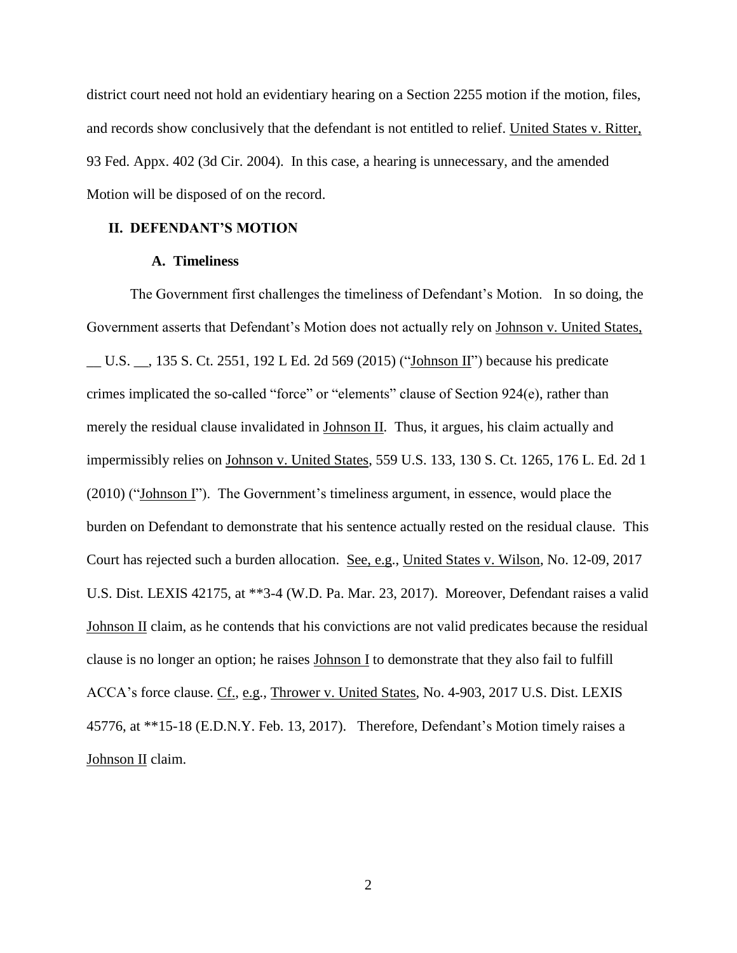district court need not hold an evidentiary hearing on a Section 2255 motion if the motion, files, and records show conclusively that the defendant is not entitled to relief. United States v. Ritter, 93 Fed. Appx. 402 (3d Cir. 2004). In this case, a hearing is unnecessary, and the amended Motion will be disposed of on the record.

## **II. DEFENDANT'S MOTION**

## **A. Timeliness**

The Government first challenges the timeliness of Defendant's Motion. In so doing, the Government asserts that Defendant's Motion does not actually rely on Johnson v. United States, U.S.  $\,$ , 135 S. Ct. 2551, 192 L Ed. 2d 569 (2015) ("Johnson II") because his predicate crimes implicated the so-called "force" or "elements" clause of Section 924(e), rather than merely the residual clause invalidated in Johnson II. Thus, it argues, his claim actually and impermissibly relies on Johnson v. United States, 559 U.S. 133, 130 S. Ct. 1265, 176 L. Ed. 2d 1 (2010) ("Johnson I"). The Government's timeliness argument, in essence, would place the burden on Defendant to demonstrate that his sentence actually rested on the residual clause. This Court has rejected such a burden allocation. See, e.g., United States v. Wilson, No. 12-09, 2017 U.S. Dist. LEXIS 42175, at \*\*3-4 (W.D. Pa. Mar. 23, 2017). Moreover, Defendant raises a valid Johnson II claim, as he contends that his convictions are not valid predicates because the residual clause is no longer an option; he raises Johnson I to demonstrate that they also fail to fulfill ACCA's force clause. Cf., e.g., Thrower v. United States, No. 4-903, 2017 U.S. Dist. LEXIS 45776, at \*\*15-18 (E.D.N.Y. Feb. 13, 2017). Therefore, Defendant's Motion timely raises a Johnson II claim.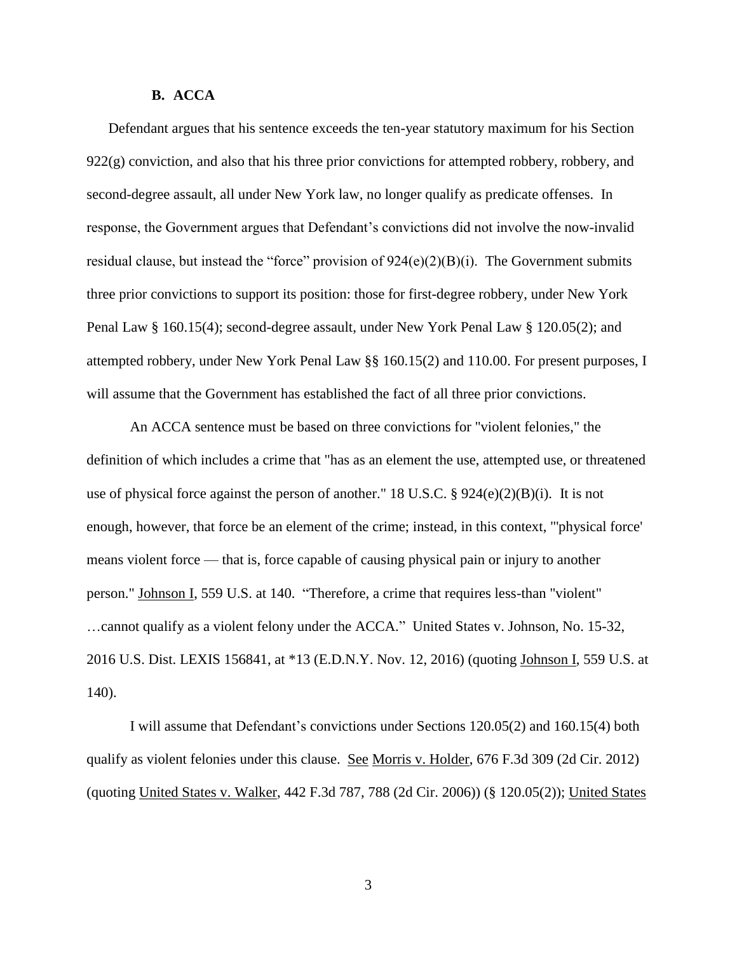## **B. ACCA**

Defendant argues that his sentence exceeds the ten-year statutory maximum for his Section  $922(g)$  conviction, and also that his three prior convictions for attempted robbery, robbery, and second-degree assault, all under New York law, no longer qualify as predicate offenses. In response, the Government argues that Defendant's convictions did not involve the now-invalid residual clause, but instead the "force" provision of  $924(e)(2)(B)(i)$ . The Government submits three prior convictions to support its position: those for first-degree robbery, under New York Penal Law § 160.15(4); second-degree assault, under New York Penal Law § 120.05(2); and attempted robbery, under New York Penal Law §§ 160.15(2) and 110.00. For present purposes, I will assume that the Government has established the fact of all three prior convictions.

An ACCA sentence must be based on three convictions for "violent felonies," the definition of which includes a crime that "has as an element the use, attempted use, or threatened use of physical force against the person of another." 18 U.S.C. § 924(e)(2)(B)(i). It is not enough, however, that force be an element of the crime; instead, in this context, "'physical force' means violent force — that is, force capable of causing physical pain or injury to another person." Johnson I, 559 U.S. at 140. "Therefore, a crime that requires less-than "violent" …cannot qualify as a violent felony under the ACCA." United States v. Johnson, No. 15-32, 2016 U.S. Dist. LEXIS 156841, at \*13 (E.D.N.Y. Nov. 12, 2016) (quoting Johnson I, 559 U.S. at 140).

I will assume that Defendant's convictions under Sections 120.05(2) and 160.15(4) both qualify as violent felonies under this clause. See Morris v. Holder, 676 F.3d 309 (2d Cir. 2012) (quoting United States v. Walker, 442 F.3d 787, 788 (2d Cir. 2006)) (§ 120.05(2)); United States

3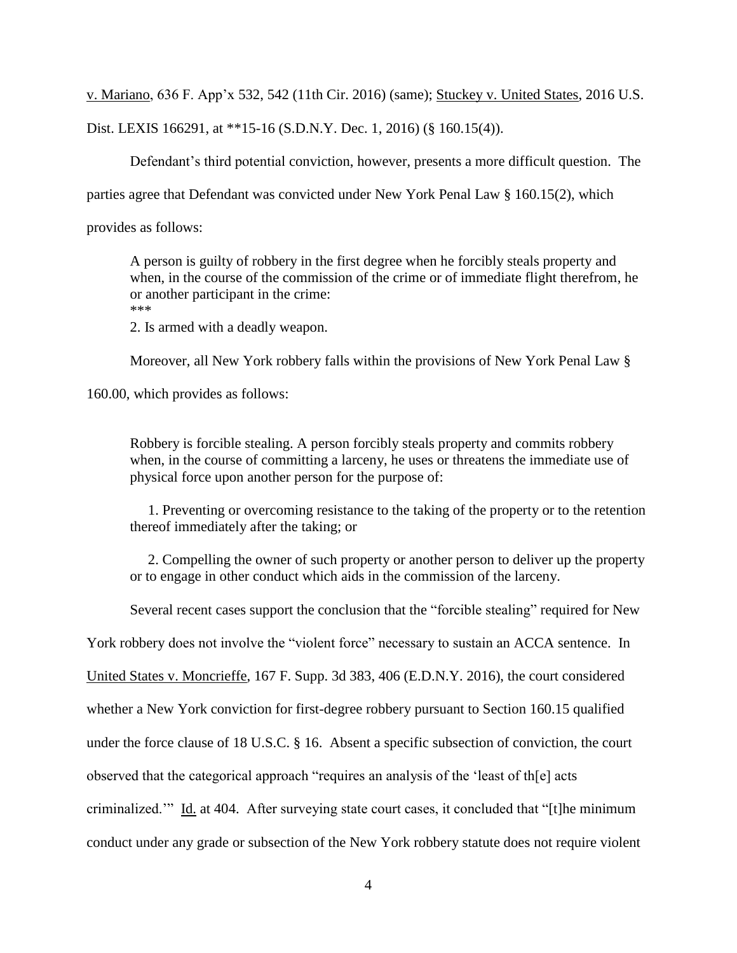v. Mariano, 636 F. App'x 532, 542 (11th Cir. 2016) (same); Stuckey v. United States, 2016 U.S.

Dist. LEXIS 166291, at \*\*15-16 (S.D.N.Y. Dec. 1, 2016) (§ 160.15(4)).

Defendant's third potential conviction, however, presents a more difficult question. The

parties agree that Defendant was convicted under New York Penal Law § 160.15(2), which

provides as follows:

A person is guilty of robbery in the first degree when he forcibly steals property and when, in the course of the commission of the crime or of immediate flight therefrom, he or another participant in the crime:

\*\*\*

2. Is armed with a deadly weapon.

Moreover, all New York robbery falls within the provisions of New York Penal Law §

160.00, which provides as follows:

Robbery is forcible stealing. A person forcibly steals property and commits robbery when, in the course of committing a larceny, he uses or threatens the immediate use of physical force upon another person for the purpose of:

 1. Preventing or overcoming resistance to the taking of the property or to the retention thereof immediately after the taking; or

 2. Compelling the owner of such property or another person to deliver up the property or to engage in other conduct which aids in the commission of the larceny.

Several recent cases support the conclusion that the "forcible stealing" required for New

York robbery does not involve the "violent force" necessary to sustain an ACCA sentence. In

United States v. Moncrieffe, 167 F. Supp. 3d 383, 406 (E.D.N.Y. 2016), the court considered

whether a New York conviction for first-degree robbery pursuant to Section 160.15 qualified

under the force clause of 18 U.S.C. § 16. Absent a specific subsection of conviction, the court

observed that the categorical approach "requires an analysis of the 'least of th[e] acts

criminalized.'" Id. at 404. After surveying state court cases, it concluded that "[t]he minimum

conduct under any grade or subsection of the New York robbery statute does not require violent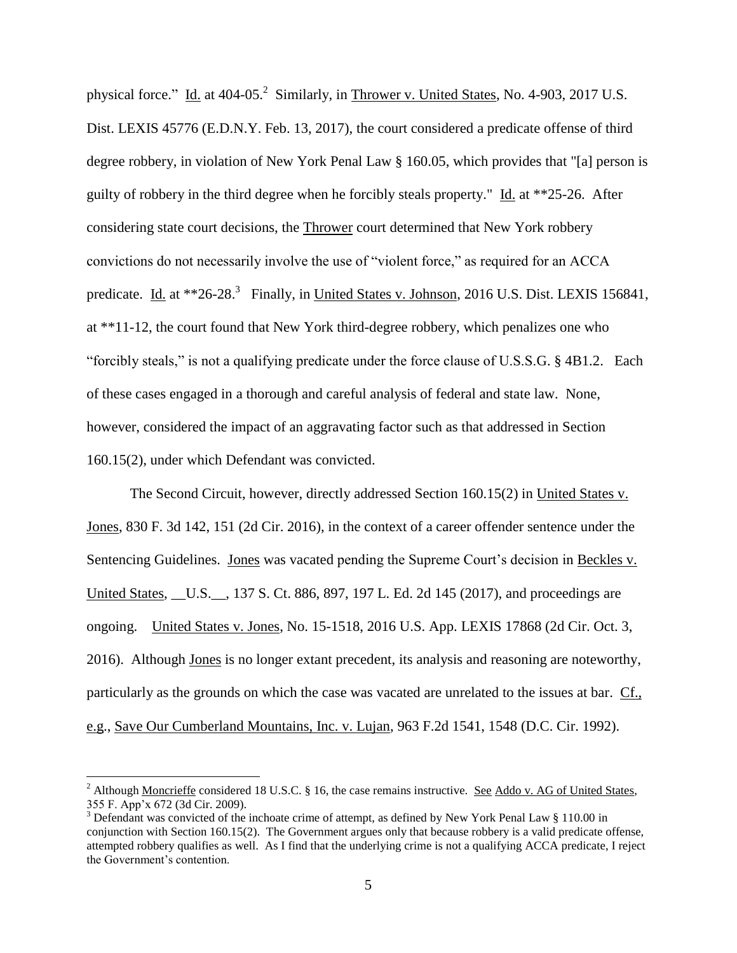physical force." Id. at 404-05.<sup>2</sup> Similarly, in Thrower v. United States, No. 4-903, 2017 U.S. Dist. LEXIS 45776 (E.D.N.Y. Feb. 13, 2017), the court considered a predicate offense of third degree robbery, in violation of New York Penal Law § 160.05, which provides that "[a] person is guilty of robbery in the third degree when he forcibly steals property." Id. at \*\*25-26. After considering state court decisions, the Thrower court determined that New York robbery convictions do not necessarily involve the use of "violent force," as required for an ACCA predicate. Id. at \*\*26-28.<sup>3</sup> Finally, in United States v. Johnson, 2016 U.S. Dist. LEXIS 156841, at \*\*11-12, the court found that New York third-degree robbery, which penalizes one who "forcibly steals," is not a qualifying predicate under the force clause of U.S.S.G. § 4B1.2. Each of these cases engaged in a thorough and careful analysis of federal and state law. None, however, considered the impact of an aggravating factor such as that addressed in Section 160.15(2), under which Defendant was convicted.

The Second Circuit, however, directly addressed Section 160.15(2) in United States v. Jones, 830 F. 3d 142, 151 (2d Cir. 2016), in the context of a career offender sentence under the Sentencing Guidelines. Jones was vacated pending the Supreme Court's decision in Beckles v. United States, \_\_U.S.\_\_, 137 S. Ct. 886, 897, 197 L. Ed. 2d 145 (2017), and proceedings are ongoing. United States v. Jones, No. 15-1518, 2016 U.S. App. LEXIS 17868 (2d Cir. Oct. 3, 2016). Although Jones is no longer extant precedent, its analysis and reasoning are noteworthy, particularly as the grounds on which the case was vacated are unrelated to the issues at bar. Cf., e.g., Save Our Cumberland Mountains, Inc. v. Lujan, 963 F.2d 1541, 1548 (D.C. Cir. 1992).

<sup>&</sup>lt;sup>2</sup> Although Moncrieffe considered 18 U.S.C. § 16, the case remains instructive. See Addo v. AG of United States, 355 F. App'x 672 (3d Cir. 2009).

<sup>&</sup>lt;sup>3</sup> Defendant was convicted of the inchoate crime of attempt, as defined by New York Penal Law  $\S$  110.00 in conjunction with Section 160.15(2). The Government argues only that because robbery is a valid predicate offense, attempted robbery qualifies as well. As I find that the underlying crime is not a qualifying ACCA predicate, I reject the Government's contention.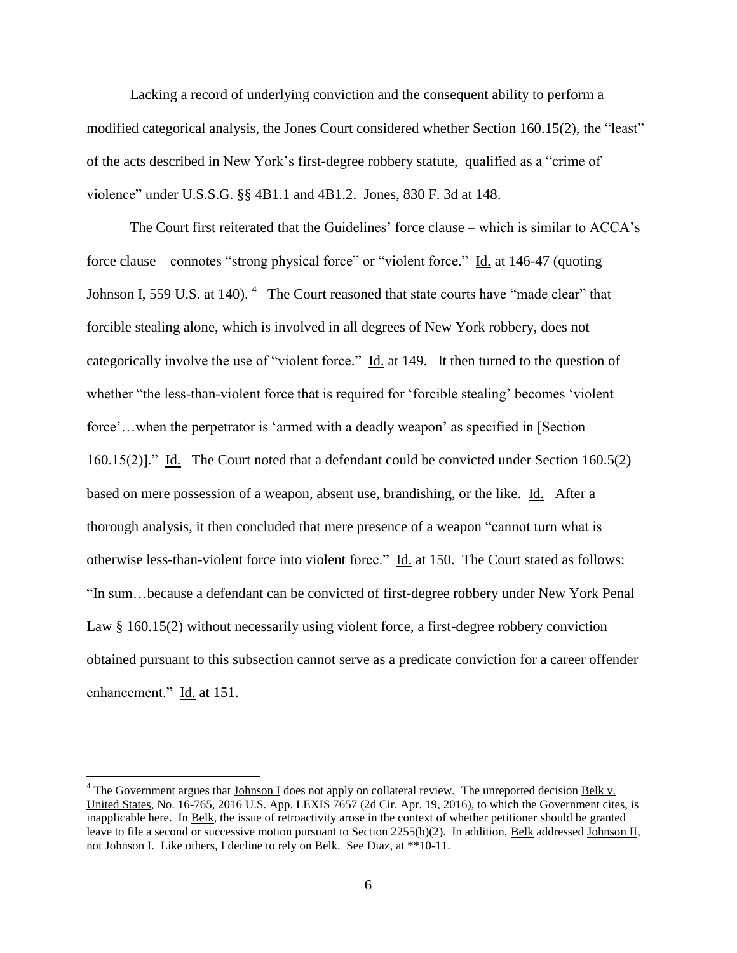Lacking a record of underlying conviction and the consequent ability to perform a modified categorical analysis, the Jones Court considered whether Section 160.15(2), the "least" of the acts described in New York's first-degree robbery statute, qualified as a "crime of violence" under U.S.S.G. §§ 4B1.1 and 4B1.2. Jones, 830 F. 3d at 148.

The Court first reiterated that the Guidelines' force clause – which is similar to ACCA's force clause – connotes "strong physical force" or "violent force." Id. at 146-47 (quoting Johnson I, 559 U.S. at 140).  $4$  The Court reasoned that state courts have "made clear" that forcible stealing alone, which is involved in all degrees of New York robbery, does not categorically involve the use of "violent force." Id. at 149. It then turned to the question of whether "the less-than-violent force that is required for 'forcible stealing' becomes 'violent force'...when the perpetrator is 'armed with a deadly weapon' as specified in [Section] 160.15(2)]." Id. The Court noted that a defendant could be convicted under Section 160.5(2) based on mere possession of a weapon, absent use, brandishing, or the like. Id. After a thorough analysis, it then concluded that mere presence of a weapon "cannot turn what is otherwise less-than-violent force into violent force." Id. at 150. The Court stated as follows: "In sum…because a defendant can be convicted of first-degree robbery under New York Penal Law § 160.15(2) without necessarily using violent force, a first-degree robbery conviction obtained pursuant to this subsection cannot serve as a predicate conviction for a career offender enhancement." Id. at 151.

<sup>&</sup>lt;sup>4</sup> The Government argues that Johnson I does not apply on collateral review. The unreported decision Belk v. United States, No. 16-765, 2016 U.S. App. LEXIS 7657 (2d Cir. Apr. 19, 2016), to which the Government cites, is inapplicable here. In Belk, the issue of retroactivity arose in the context of whether petitioner should be granted leave to file a second or successive motion pursuant to Section 2255(h)(2). In addition, Belk addressed Johnson II, not Johnson I. Like others, I decline to rely on Belk. See Diaz, at \*\*10-11.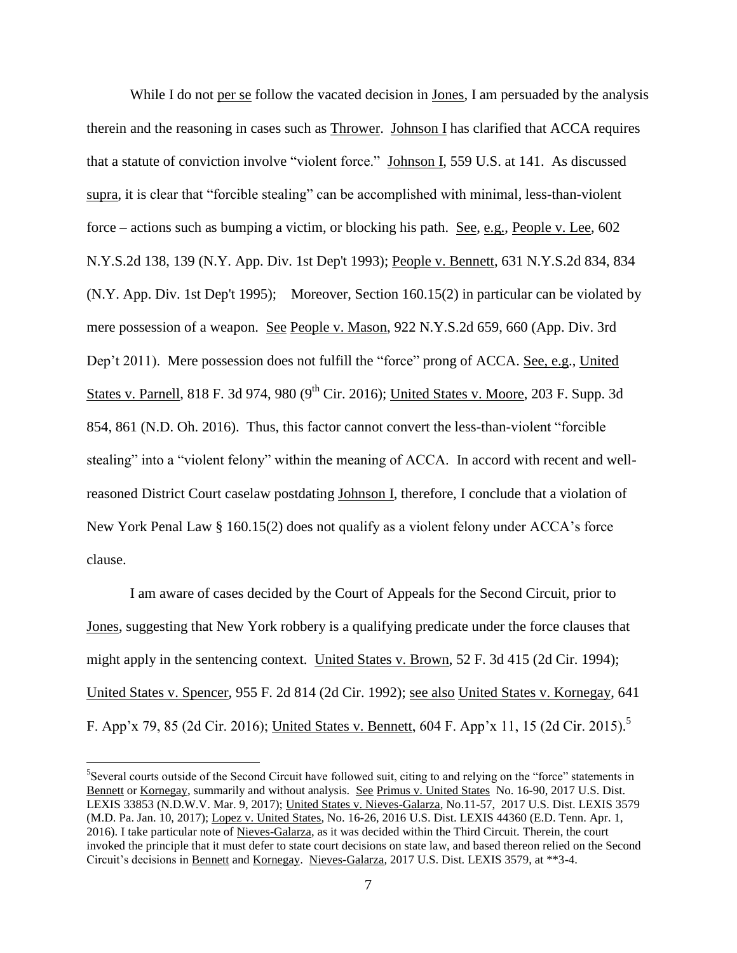While I do not per se follow the vacated decision in Jones, I am persuaded by the analysis therein and the reasoning in cases such as Thrower. Johnson I has clarified that ACCA requires that a statute of conviction involve "violent force." Johnson I, 559 U.S. at 141. As discussed supra, it is clear that "forcible stealing" can be accomplished with minimal, less-than-violent force – actions such as bumping a victim, or blocking his path. See, e.g., People v. Lee, 602 N.Y.S.2d 138, 139 (N.Y. App. Div. 1st Dep't 1993); People v. Bennett, 631 N.Y.S.2d 834, 834 (N.Y. App. Div. 1st Dep't 1995); Moreover, Section 160.15(2) in particular can be violated by mere possession of a weapon. See People v. Mason, 922 N.Y.S.2d 659, 660 (App. Div. 3rd Dep't 2011). Mere possession does not fulfill the "force" prong of ACCA. <u>See, e.g., United</u> States v. Parnell, 818 F. 3d 974, 980 (9<sup>th</sup> Cir. 2016); United States v. Moore, 203 F. Supp. 3d 854, 861 (N.D. Oh. 2016). Thus, this factor cannot convert the less-than-violent "forcible stealing" into a "violent felony" within the meaning of ACCA. In accord with recent and wellreasoned District Court caselaw postdating Johnson I, therefore, I conclude that a violation of New York Penal Law § 160.15(2) does not qualify as a violent felony under ACCA's force clause.

I am aware of cases decided by the Court of Appeals for the Second Circuit, prior to Jones, suggesting that New York robbery is a qualifying predicate under the force clauses that might apply in the sentencing context. United States v. Brown, 52 F. 3d 415 (2d Cir. 1994); United States v. Spencer, 955 F. 2d 814 (2d Cir. 1992); see also United States v. Kornegay, 641 F. App'x 79, 85 (2d Cir. 2016); United States v. Bennett, 604 F. App'x 11, 15 (2d Cir. 2015).<sup>5</sup>

<sup>&</sup>lt;sup>5</sup>Several courts outside of the Second Circuit have followed suit, citing to and relying on the "force" statements in Bennett or Kornegay, summarily and without analysis. See Primus v. United States No. 16-90, 2017 U.S. Dist. LEXIS 33853 (N.D.W.V. Mar. 9, 2017); United States v. Nieves-Galarza, No.11-57, 2017 U.S. Dist. LEXIS 3579 (M.D. Pa. Jan. 10, 2017); Lopez v. United States, No. 16-26, 2016 U.S. Dist. LEXIS 44360 (E.D. Tenn. Apr. 1, 2016). I take particular note of Nieves-Galarza, as it was decided within the Third Circuit. Therein, the court invoked the principle that it must defer to state court decisions on state law, and based thereon relied on the Second Circuit's decisions in Bennett and Kornegay. Nieves-Galarza, 2017 U.S. Dist. LEXIS 3579, at \*\*3-4.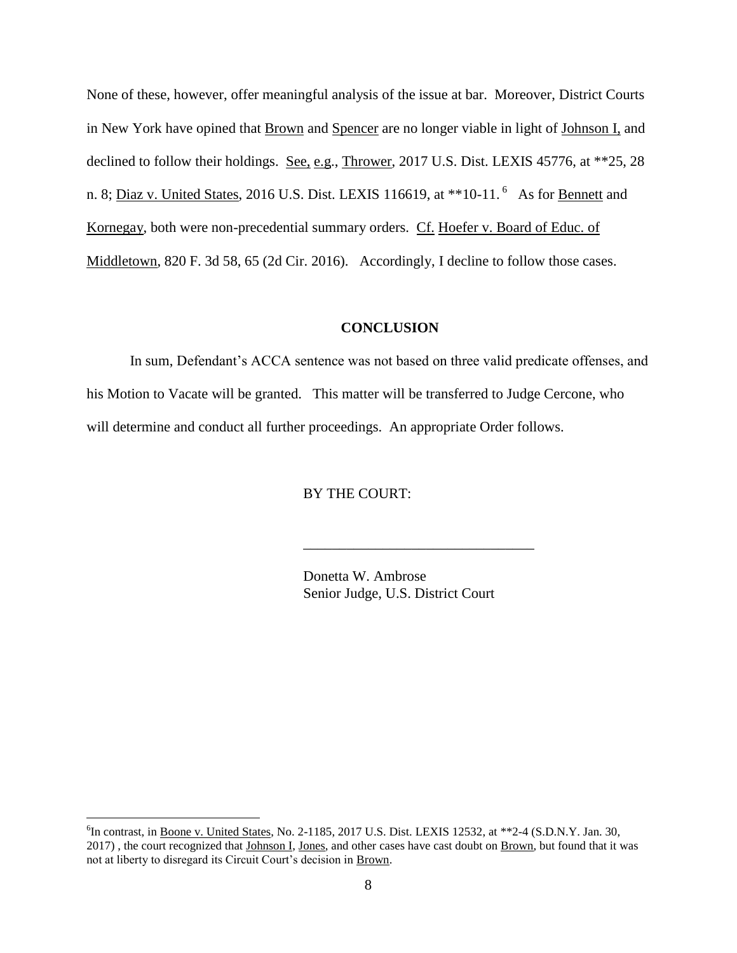None of these, however, offer meaningful analysis of the issue at bar. Moreover, District Courts in New York have opined that **Brown** and **Spencer** are no longer viable in light of Johnson I, and declined to follow their holdings. See, e.g., Thrower, 2017 U.S. Dist. LEXIS 45776, at \*\*25, 28 n. 8; <u>Diaz v. United States</u>, 2016 U.S. Dist. LEXIS 116619, at \*\*10-11.<sup>6</sup> As for <u>Bennett</u> and Kornegay, both were non-precedential summary orders. Cf. Hoefer v. Board of Educ. of Middletown, 820 F. 3d 58, 65 (2d Cir. 2016). Accordingly, I decline to follow those cases.

### **CONCLUSION**

In sum, Defendant's ACCA sentence was not based on three valid predicate offenses, and his Motion to Vacate will be granted. This matter will be transferred to Judge Cercone, who will determine and conduct all further proceedings. An appropriate Order follows.

## BY THE COURT:

Donetta W. Ambrose Senior Judge, U.S. District Court

\_\_\_\_\_\_\_\_\_\_\_\_\_\_\_\_\_\_\_\_\_\_\_\_\_\_\_\_\_\_\_\_

<sup>&</sup>lt;sup>6</sup>In contrast, in <u>Boone v. United States</u>, No. 2-1185, 2017 U.S. Dist. LEXIS 12532, at \*\*2-4 (S.D.N.Y. Jan. 30, 2017), the court recognized that *Johnson I*, Jones, and other cases have cast doubt on **Brown**, but found that it was not at liberty to disregard its Circuit Court's decision in Brown.